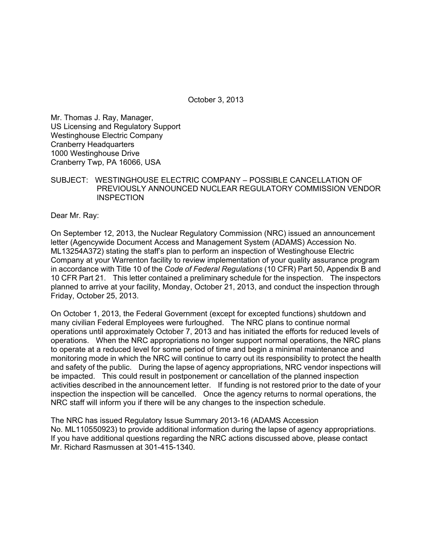October 3, 2013

Mr. Thomas J. Ray, Manager, US Licensing and Regulatory Support Westinghouse Electric Company Cranberry Headquarters 1000 Westinghouse Drive Cranberry Twp, PA 16066, USA

SUBJECT: WESTINGHOUSE ELECTRIC COMPANY – POSSIBLE CANCELLATION OF PREVIOUSLY ANNOUNCED NUCLEAR REGULATORY COMMISSION VENDOR **INSPECTION** 

Dear Mr. Ray:

On September 12, 2013, the Nuclear Regulatory Commission (NRC) issued an announcement letter (Agencywide Document Access and Management System (ADAMS) Accession No. ML13254A372) stating the staff's plan to perform an inspection of Westinghouse Electric Company at your Warrenton facility to review implementation of your quality assurance program in accordance with Title 10 of the *Code of Federal Regulations* (10 CFR) Part 50, Appendix B and 10 CFR Part 21. This letter contained a preliminary schedule for the inspection. The inspectors planned to arrive at your facility, Monday, October 21, 2013, and conduct the inspection through Friday, October 25, 2013.

On October 1, 2013, the Federal Government (except for excepted functions) shutdown and many civilian Federal Employees were furloughed. The NRC plans to continue normal operations until approximately October 7, 2013 and has initiated the efforts for reduced levels of operations. When the NRC appropriations no longer support normal operations, the NRC plans to operate at a reduced level for some period of time and begin a minimal maintenance and monitoring mode in which the NRC will continue to carry out its responsibility to protect the health and safety of the public. During the lapse of agency appropriations, NRC vendor inspections will be impacted. This could result in postponement or cancellation of the planned inspection activities described in the announcement letter. If funding is not restored prior to the date of your inspection the inspection will be cancelled. Once the agency returns to normal operations, the NRC staff will inform you if there will be any changes to the inspection schedule.

The NRC has issued Regulatory Issue Summary 2013-16 (ADAMS Accession No. ML110550923) to provide additional information during the lapse of agency appropriations. If you have additional questions regarding the NRC actions discussed above, please contact Mr. Richard Rasmussen at 301-415-1340.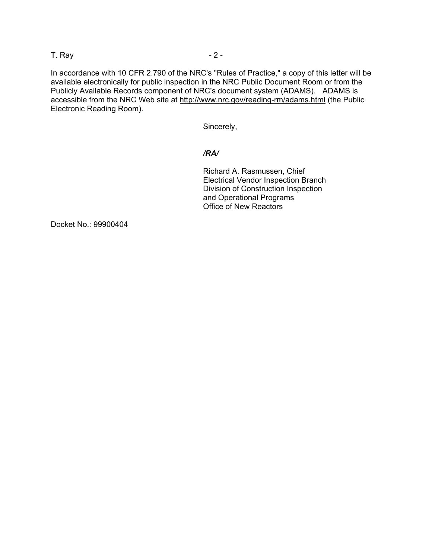## T. Ray  $-2$  -

In accordance with 10 CFR 2.790 of the NRC's "Rules of Practice," a copy of this letter will be available electronically for public inspection in the NRC Public Document Room or from the Publicly Available Records component of NRC's document system (ADAMS). ADAMS is accessible from the NRC Web site at http://www.nrc.gov/reading-rm/adams.html (the Public Electronic Reading Room).

Sincerely,

# */RA/*

Richard A. Rasmussen, Chief Electrical Vendor Inspection Branch Division of Construction Inspection and Operational Programs Office of New Reactors

Docket No.: 99900404